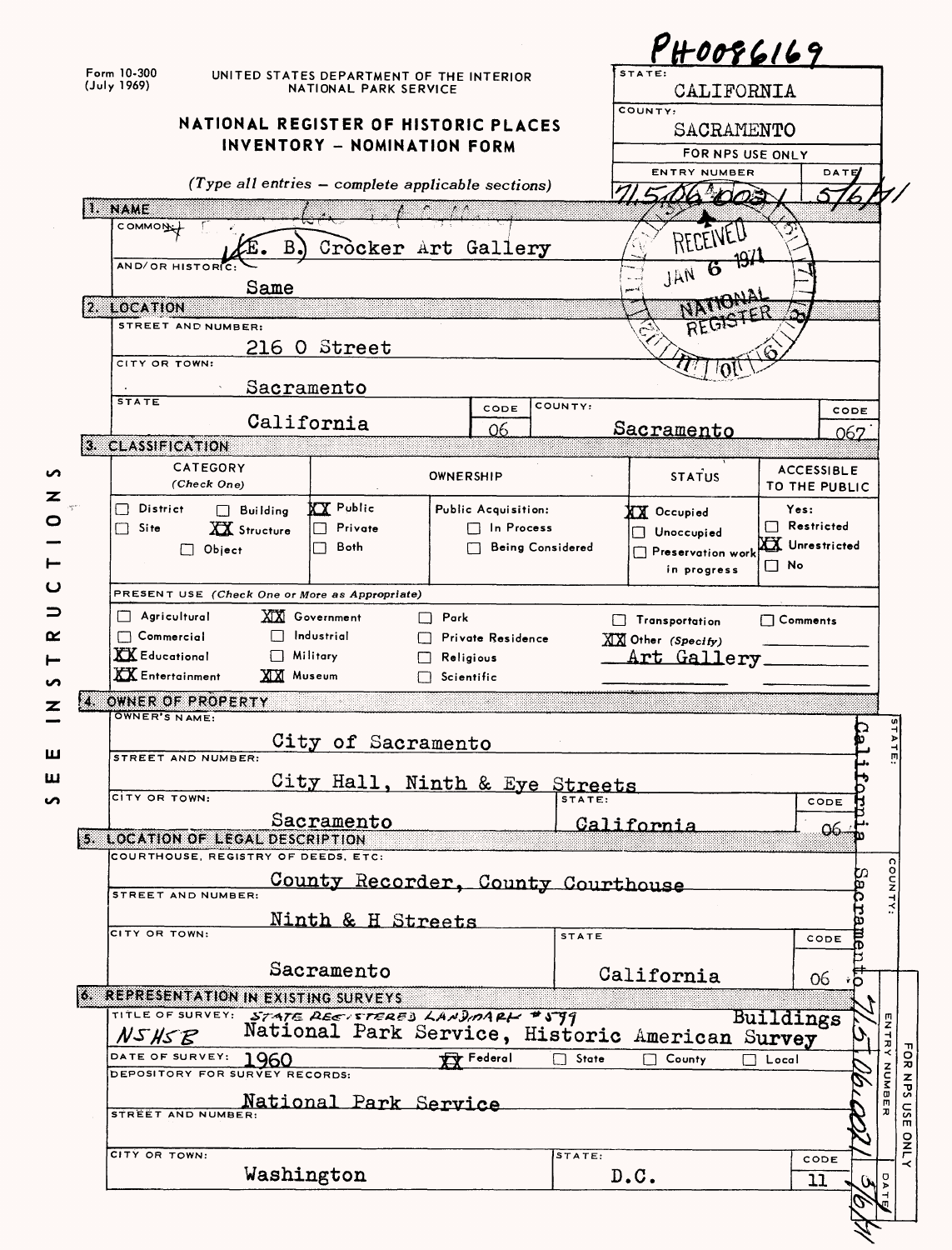| Form 10-300<br>STATE:<br>UNITED STATES DEPARTMENT OF THE INTERIOR<br>(July 1969)<br>NATIONAL PARK SERVICE<br>CALIFORNIA<br>COUNTY:<br>NATIONAL REGISTER OF HISTORIC PLACES<br>SACRAMENTO<br>INVENTORY - NOMINATION FORM<br>FOR NPS USE ONLY<br><b>ENTRY NUMBER</b><br>DATE<br>(Type all entries - complete applicable sections)<br>I. NAME<br>COMMON <sub>L</sub><br>$\mathbf B$ .<br>Crocker Art Gallery<br>AND/OR HISTORIC<br>ъ<br>JAN<br>Same<br>2. LOCATION<br>STREET AND NUMBER:<br>216 O Street<br>CITY OR TOWN:<br>Sacramento<br><b>STATE</b><br>COUNTY:<br>CODE<br>CODE<br>California<br><b>Sacramento</b><br>06<br>067<br>3. CLASSIFICATION<br>CATEGORY<br><b>ACCESSIBLE</b><br><b>STATUS</b><br>OWNERSHIP<br>(Check One)<br>TO THE PUBLIC<br><b>XX</b> Public<br>District<br>Yes:<br>Public Acquisition:<br>$\Box$ Building<br>$\mathsf{L}$<br>XX Occupied<br>$\Box$ Restricted<br>XX Structure<br>Private<br>$\Box$ In Process<br>П<br>Site<br>Unoccupied<br>XX Unrestricted<br>Both<br><b>Being Considered</b><br>$\Box$ Object<br>Preservation work<br>$\square$ No<br>in progress<br>PRESENT USE (Check One or More as Appropriate)<br>$\Box$ Agricultural<br><b>XX</b> Government<br>$\Box$ Park<br>$\Box$ Comments<br>$\Box$ Transportation<br>$\Box$ Commercial<br>Industrial<br>Private Residence<br>XXX Other (Specify)<br><b>XX</b> Educational<br>$\Box$ Military<br>Art Gallery<br>Religious<br><b>XX</b> Entertainment<br><b>XX</b> Museum<br>$\Box$ Scientific<br>OWNER OF PROPERTY<br>х.<br>OWNER'S NAME:<br>$\mathbf{v}^{\perp}$<br>City of Sacramento<br><b>STREET AND NUMBER:</b><br>City Hall, Ninth & Eye Streets<br>CITY OR TOWN:<br>CODE<br>Sacramento<br>California<br><u>06 -</u><br>5. LOCATION OF LEGAL DESCRIPTION<br>COURTHOUSE, REGISTRY OF DEEDS, ETC:<br>COUNTY<br>Sacra<br>County Recorder, County Courthouse<br>STREET AND NUMBER:<br>Ninth & H Streets<br>CITY OR TOWN:<br><b>STATE</b><br>CODE<br>Sacramento<br>California<br>06<br><b>6. REPRESENTATION IN EXISTING SURVEYS</b><br>TITLE OF SURVEY: STATE REEVETERED LANDMARK #599<br>Buildings<br>ENTRY<br>National Park Service, Historic American Survey<br>NSHSB<br>DATE OF SURVEY:<br><b>VV</b> Federal<br>1960<br>State<br>County<br>Local<br>Z<br>S<br>DEPOSITORY FOR SURVEY RECORDS:<br>ω<br>National Park Service<br>STREET AND NUMBER:<br>CITY OR TOWN:<br>STATE:<br>CODE<br>Washington<br>D. C.<br>ρ<br>11<br>W |  |  |  |  |  |  | $P$ H0086169 |  |  |
|--------------------------------------------------------------------------------------------------------------------------------------------------------------------------------------------------------------------------------------------------------------------------------------------------------------------------------------------------------------------------------------------------------------------------------------------------------------------------------------------------------------------------------------------------------------------------------------------------------------------------------------------------------------------------------------------------------------------------------------------------------------------------------------------------------------------------------------------------------------------------------------------------------------------------------------------------------------------------------------------------------------------------------------------------------------------------------------------------------------------------------------------------------------------------------------------------------------------------------------------------------------------------------------------------------------------------------------------------------------------------------------------------------------------------------------------------------------------------------------------------------------------------------------------------------------------------------------------------------------------------------------------------------------------------------------------------------------------------------------------------------------------------------------------------------------------------------------------------------------------------------------------------------------------------------------------------------------------------------------------------------------------------------------------------------------------------------------------------------------------------------------------------------------------------------------------------------------------------------------------------------------------------------------------------------------------------------------------------------------------------------------------------------------------------|--|--|--|--|--|--|--------------|--|--|
|                                                                                                                                                                                                                                                                                                                                                                                                                                                                                                                                                                                                                                                                                                                                                                                                                                                                                                                                                                                                                                                                                                                                                                                                                                                                                                                                                                                                                                                                                                                                                                                                                                                                                                                                                                                                                                                                                                                                                                                                                                                                                                                                                                                                                                                                                                                                                                                                                          |  |  |  |  |  |  |              |  |  |
|                                                                                                                                                                                                                                                                                                                                                                                                                                                                                                                                                                                                                                                                                                                                                                                                                                                                                                                                                                                                                                                                                                                                                                                                                                                                                                                                                                                                                                                                                                                                                                                                                                                                                                                                                                                                                                                                                                                                                                                                                                                                                                                                                                                                                                                                                                                                                                                                                          |  |  |  |  |  |  |              |  |  |
|                                                                                                                                                                                                                                                                                                                                                                                                                                                                                                                                                                                                                                                                                                                                                                                                                                                                                                                                                                                                                                                                                                                                                                                                                                                                                                                                                                                                                                                                                                                                                                                                                                                                                                                                                                                                                                                                                                                                                                                                                                                                                                                                                                                                                                                                                                                                                                                                                          |  |  |  |  |  |  |              |  |  |
|                                                                                                                                                                                                                                                                                                                                                                                                                                                                                                                                                                                                                                                                                                                                                                                                                                                                                                                                                                                                                                                                                                                                                                                                                                                                                                                                                                                                                                                                                                                                                                                                                                                                                                                                                                                                                                                                                                                                                                                                                                                                                                                                                                                                                                                                                                                                                                                                                          |  |  |  |  |  |  |              |  |  |
|                                                                                                                                                                                                                                                                                                                                                                                                                                                                                                                                                                                                                                                                                                                                                                                                                                                                                                                                                                                                                                                                                                                                                                                                                                                                                                                                                                                                                                                                                                                                                                                                                                                                                                                                                                                                                                                                                                                                                                                                                                                                                                                                                                                                                                                                                                                                                                                                                          |  |  |  |  |  |  |              |  |  |
|                                                                                                                                                                                                                                                                                                                                                                                                                                                                                                                                                                                                                                                                                                                                                                                                                                                                                                                                                                                                                                                                                                                                                                                                                                                                                                                                                                                                                                                                                                                                                                                                                                                                                                                                                                                                                                                                                                                                                                                                                                                                                                                                                                                                                                                                                                                                                                                                                          |  |  |  |  |  |  |              |  |  |
|                                                                                                                                                                                                                                                                                                                                                                                                                                                                                                                                                                                                                                                                                                                                                                                                                                                                                                                                                                                                                                                                                                                                                                                                                                                                                                                                                                                                                                                                                                                                                                                                                                                                                                                                                                                                                                                                                                                                                                                                                                                                                                                                                                                                                                                                                                                                                                                                                          |  |  |  |  |  |  |              |  |  |
|                                                                                                                                                                                                                                                                                                                                                                                                                                                                                                                                                                                                                                                                                                                                                                                                                                                                                                                                                                                                                                                                                                                                                                                                                                                                                                                                                                                                                                                                                                                                                                                                                                                                                                                                                                                                                                                                                                                                                                                                                                                                                                                                                                                                                                                                                                                                                                                                                          |  |  |  |  |  |  |              |  |  |
|                                                                                                                                                                                                                                                                                                                                                                                                                                                                                                                                                                                                                                                                                                                                                                                                                                                                                                                                                                                                                                                                                                                                                                                                                                                                                                                                                                                                                                                                                                                                                                                                                                                                                                                                                                                                                                                                                                                                                                                                                                                                                                                                                                                                                                                                                                                                                                                                                          |  |  |  |  |  |  |              |  |  |
|                                                                                                                                                                                                                                                                                                                                                                                                                                                                                                                                                                                                                                                                                                                                                                                                                                                                                                                                                                                                                                                                                                                                                                                                                                                                                                                                                                                                                                                                                                                                                                                                                                                                                                                                                                                                                                                                                                                                                                                                                                                                                                                                                                                                                                                                                                                                                                                                                          |  |  |  |  |  |  |              |  |  |
|                                                                                                                                                                                                                                                                                                                                                                                                                                                                                                                                                                                                                                                                                                                                                                                                                                                                                                                                                                                                                                                                                                                                                                                                                                                                                                                                                                                                                                                                                                                                                                                                                                                                                                                                                                                                                                                                                                                                                                                                                                                                                                                                                                                                                                                                                                                                                                                                                          |  |  |  |  |  |  |              |  |  |
|                                                                                                                                                                                                                                                                                                                                                                                                                                                                                                                                                                                                                                                                                                                                                                                                                                                                                                                                                                                                                                                                                                                                                                                                                                                                                                                                                                                                                                                                                                                                                                                                                                                                                                                                                                                                                                                                                                                                                                                                                                                                                                                                                                                                                                                                                                                                                                                                                          |  |  |  |  |  |  |              |  |  |
|                                                                                                                                                                                                                                                                                                                                                                                                                                                                                                                                                                                                                                                                                                                                                                                                                                                                                                                                                                                                                                                                                                                                                                                                                                                                                                                                                                                                                                                                                                                                                                                                                                                                                                                                                                                                                                                                                                                                                                                                                                                                                                                                                                                                                                                                                                                                                                                                                          |  |  |  |  |  |  |              |  |  |
|                                                                                                                                                                                                                                                                                                                                                                                                                                                                                                                                                                                                                                                                                                                                                                                                                                                                                                                                                                                                                                                                                                                                                                                                                                                                                                                                                                                                                                                                                                                                                                                                                                                                                                                                                                                                                                                                                                                                                                                                                                                                                                                                                                                                                                                                                                                                                                                                                          |  |  |  |  |  |  |              |  |  |
|                                                                                                                                                                                                                                                                                                                                                                                                                                                                                                                                                                                                                                                                                                                                                                                                                                                                                                                                                                                                                                                                                                                                                                                                                                                                                                                                                                                                                                                                                                                                                                                                                                                                                                                                                                                                                                                                                                                                                                                                                                                                                                                                                                                                                                                                                                                                                                                                                          |  |  |  |  |  |  |              |  |  |
|                                                                                                                                                                                                                                                                                                                                                                                                                                                                                                                                                                                                                                                                                                                                                                                                                                                                                                                                                                                                                                                                                                                                                                                                                                                                                                                                                                                                                                                                                                                                                                                                                                                                                                                                                                                                                                                                                                                                                                                                                                                                                                                                                                                                                                                                                                                                                                                                                          |  |  |  |  |  |  |              |  |  |
|                                                                                                                                                                                                                                                                                                                                                                                                                                                                                                                                                                                                                                                                                                                                                                                                                                                                                                                                                                                                                                                                                                                                                                                                                                                                                                                                                                                                                                                                                                                                                                                                                                                                                                                                                                                                                                                                                                                                                                                                                                                                                                                                                                                                                                                                                                                                                                                                                          |  |  |  |  |  |  |              |  |  |
|                                                                                                                                                                                                                                                                                                                                                                                                                                                                                                                                                                                                                                                                                                                                                                                                                                                                                                                                                                                                                                                                                                                                                                                                                                                                                                                                                                                                                                                                                                                                                                                                                                                                                                                                                                                                                                                                                                                                                                                                                                                                                                                                                                                                                                                                                                                                                                                                                          |  |  |  |  |  |  |              |  |  |
|                                                                                                                                                                                                                                                                                                                                                                                                                                                                                                                                                                                                                                                                                                                                                                                                                                                                                                                                                                                                                                                                                                                                                                                                                                                                                                                                                                                                                                                                                                                                                                                                                                                                                                                                                                                                                                                                                                                                                                                                                                                                                                                                                                                                                                                                                                                                                                                                                          |  |  |  |  |  |  |              |  |  |
|                                                                                                                                                                                                                                                                                                                                                                                                                                                                                                                                                                                                                                                                                                                                                                                                                                                                                                                                                                                                                                                                                                                                                                                                                                                                                                                                                                                                                                                                                                                                                                                                                                                                                                                                                                                                                                                                                                                                                                                                                                                                                                                                                                                                                                                                                                                                                                                                                          |  |  |  |  |  |  |              |  |  |
|                                                                                                                                                                                                                                                                                                                                                                                                                                                                                                                                                                                                                                                                                                                                                                                                                                                                                                                                                                                                                                                                                                                                                                                                                                                                                                                                                                                                                                                                                                                                                                                                                                                                                                                                                                                                                                                                                                                                                                                                                                                                                                                                                                                                                                                                                                                                                                                                                          |  |  |  |  |  |  |              |  |  |
|                                                                                                                                                                                                                                                                                                                                                                                                                                                                                                                                                                                                                                                                                                                                                                                                                                                                                                                                                                                                                                                                                                                                                                                                                                                                                                                                                                                                                                                                                                                                                                                                                                                                                                                                                                                                                                                                                                                                                                                                                                                                                                                                                                                                                                                                                                                                                                                                                          |  |  |  |  |  |  |              |  |  |
|                                                                                                                                                                                                                                                                                                                                                                                                                                                                                                                                                                                                                                                                                                                                                                                                                                                                                                                                                                                                                                                                                                                                                                                                                                                                                                                                                                                                                                                                                                                                                                                                                                                                                                                                                                                                                                                                                                                                                                                                                                                                                                                                                                                                                                                                                                                                                                                                                          |  |  |  |  |  |  |              |  |  |
|                                                                                                                                                                                                                                                                                                                                                                                                                                                                                                                                                                                                                                                                                                                                                                                                                                                                                                                                                                                                                                                                                                                                                                                                                                                                                                                                                                                                                                                                                                                                                                                                                                                                                                                                                                                                                                                                                                                                                                                                                                                                                                                                                                                                                                                                                                                                                                                                                          |  |  |  |  |  |  |              |  |  |
|                                                                                                                                                                                                                                                                                                                                                                                                                                                                                                                                                                                                                                                                                                                                                                                                                                                                                                                                                                                                                                                                                                                                                                                                                                                                                                                                                                                                                                                                                                                                                                                                                                                                                                                                                                                                                                                                                                                                                                                                                                                                                                                                                                                                                                                                                                                                                                                                                          |  |  |  |  |  |  |              |  |  |
|                                                                                                                                                                                                                                                                                                                                                                                                                                                                                                                                                                                                                                                                                                                                                                                                                                                                                                                                                                                                                                                                                                                                                                                                                                                                                                                                                                                                                                                                                                                                                                                                                                                                                                                                                                                                                                                                                                                                                                                                                                                                                                                                                                                                                                                                                                                                                                                                                          |  |  |  |  |  |  |              |  |  |
|                                                                                                                                                                                                                                                                                                                                                                                                                                                                                                                                                                                                                                                                                                                                                                                                                                                                                                                                                                                                                                                                                                                                                                                                                                                                                                                                                                                                                                                                                                                                                                                                                                                                                                                                                                                                                                                                                                                                                                                                                                                                                                                                                                                                                                                                                                                                                                                                                          |  |  |  |  |  |  |              |  |  |
|                                                                                                                                                                                                                                                                                                                                                                                                                                                                                                                                                                                                                                                                                                                                                                                                                                                                                                                                                                                                                                                                                                                                                                                                                                                                                                                                                                                                                                                                                                                                                                                                                                                                                                                                                                                                                                                                                                                                                                                                                                                                                                                                                                                                                                                                                                                                                                                                                          |  |  |  |  |  |  |              |  |  |
|                                                                                                                                                                                                                                                                                                                                                                                                                                                                                                                                                                                                                                                                                                                                                                                                                                                                                                                                                                                                                                                                                                                                                                                                                                                                                                                                                                                                                                                                                                                                                                                                                                                                                                                                                                                                                                                                                                                                                                                                                                                                                                                                                                                                                                                                                                                                                                                                                          |  |  |  |  |  |  |              |  |  |
|                                                                                                                                                                                                                                                                                                                                                                                                                                                                                                                                                                                                                                                                                                                                                                                                                                                                                                                                                                                                                                                                                                                                                                                                                                                                                                                                                                                                                                                                                                                                                                                                                                                                                                                                                                                                                                                                                                                                                                                                                                                                                                                                                                                                                                                                                                                                                                                                                          |  |  |  |  |  |  |              |  |  |
|                                                                                                                                                                                                                                                                                                                                                                                                                                                                                                                                                                                                                                                                                                                                                                                                                                                                                                                                                                                                                                                                                                                                                                                                                                                                                                                                                                                                                                                                                                                                                                                                                                                                                                                                                                                                                                                                                                                                                                                                                                                                                                                                                                                                                                                                                                                                                                                                                          |  |  |  |  |  |  |              |  |  |
|                                                                                                                                                                                                                                                                                                                                                                                                                                                                                                                                                                                                                                                                                                                                                                                                                                                                                                                                                                                                                                                                                                                                                                                                                                                                                                                                                                                                                                                                                                                                                                                                                                                                                                                                                                                                                                                                                                                                                                                                                                                                                                                                                                                                                                                                                                                                                                                                                          |  |  |  |  |  |  |              |  |  |
|                                                                                                                                                                                                                                                                                                                                                                                                                                                                                                                                                                                                                                                                                                                                                                                                                                                                                                                                                                                                                                                                                                                                                                                                                                                                                                                                                                                                                                                                                                                                                                                                                                                                                                                                                                                                                                                                                                                                                                                                                                                                                                                                                                                                                                                                                                                                                                                                                          |  |  |  |  |  |  |              |  |  |
|                                                                                                                                                                                                                                                                                                                                                                                                                                                                                                                                                                                                                                                                                                                                                                                                                                                                                                                                                                                                                                                                                                                                                                                                                                                                                                                                                                                                                                                                                                                                                                                                                                                                                                                                                                                                                                                                                                                                                                                                                                                                                                                                                                                                                                                                                                                                                                                                                          |  |  |  |  |  |  |              |  |  |
|                                                                                                                                                                                                                                                                                                                                                                                                                                                                                                                                                                                                                                                                                                                                                                                                                                                                                                                                                                                                                                                                                                                                                                                                                                                                                                                                                                                                                                                                                                                                                                                                                                                                                                                                                                                                                                                                                                                                                                                                                                                                                                                                                                                                                                                                                                                                                                                                                          |  |  |  |  |  |  |              |  |  |
|                                                                                                                                                                                                                                                                                                                                                                                                                                                                                                                                                                                                                                                                                                                                                                                                                                                                                                                                                                                                                                                                                                                                                                                                                                                                                                                                                                                                                                                                                                                                                                                                                                                                                                                                                                                                                                                                                                                                                                                                                                                                                                                                                                                                                                                                                                                                                                                                                          |  |  |  |  |  |  |              |  |  |
|                                                                                                                                                                                                                                                                                                                                                                                                                                                                                                                                                                                                                                                                                                                                                                                                                                                                                                                                                                                                                                                                                                                                                                                                                                                                                                                                                                                                                                                                                                                                                                                                                                                                                                                                                                                                                                                                                                                                                                                                                                                                                                                                                                                                                                                                                                                                                                                                                          |  |  |  |  |  |  |              |  |  |
|                                                                                                                                                                                                                                                                                                                                                                                                                                                                                                                                                                                                                                                                                                                                                                                                                                                                                                                                                                                                                                                                                                                                                                                                                                                                                                                                                                                                                                                                                                                                                                                                                                                                                                                                                                                                                                                                                                                                                                                                                                                                                                                                                                                                                                                                                                                                                                                                                          |  |  |  |  |  |  |              |  |  |
|                                                                                                                                                                                                                                                                                                                                                                                                                                                                                                                                                                                                                                                                                                                                                                                                                                                                                                                                                                                                                                                                                                                                                                                                                                                                                                                                                                                                                                                                                                                                                                                                                                                                                                                                                                                                                                                                                                                                                                                                                                                                                                                                                                                                                                                                                                                                                                                                                          |  |  |  |  |  |  |              |  |  |
|                                                                                                                                                                                                                                                                                                                                                                                                                                                                                                                                                                                                                                                                                                                                                                                                                                                                                                                                                                                                                                                                                                                                                                                                                                                                                                                                                                                                                                                                                                                                                                                                                                                                                                                                                                                                                                                                                                                                                                                                                                                                                                                                                                                                                                                                                                                                                                                                                          |  |  |  |  |  |  |              |  |  |
|                                                                                                                                                                                                                                                                                                                                                                                                                                                                                                                                                                                                                                                                                                                                                                                                                                                                                                                                                                                                                                                                                                                                                                                                                                                                                                                                                                                                                                                                                                                                                                                                                                                                                                                                                                                                                                                                                                                                                                                                                                                                                                                                                                                                                                                                                                                                                                                                                          |  |  |  |  |  |  |              |  |  |
|                                                                                                                                                                                                                                                                                                                                                                                                                                                                                                                                                                                                                                                                                                                                                                                                                                                                                                                                                                                                                                                                                                                                                                                                                                                                                                                                                                                                                                                                                                                                                                                                                                                                                                                                                                                                                                                                                                                                                                                                                                                                                                                                                                                                                                                                                                                                                                                                                          |  |  |  |  |  |  |              |  |  |
|                                                                                                                                                                                                                                                                                                                                                                                                                                                                                                                                                                                                                                                                                                                                                                                                                                                                                                                                                                                                                                                                                                                                                                                                                                                                                                                                                                                                                                                                                                                                                                                                                                                                                                                                                                                                                                                                                                                                                                                                                                                                                                                                                                                                                                                                                                                                                                                                                          |  |  |  |  |  |  |              |  |  |
|                                                                                                                                                                                                                                                                                                                                                                                                                                                                                                                                                                                                                                                                                                                                                                                                                                                                                                                                                                                                                                                                                                                                                                                                                                                                                                                                                                                                                                                                                                                                                                                                                                                                                                                                                                                                                                                                                                                                                                                                                                                                                                                                                                                                                                                                                                                                                                                                                          |  |  |  |  |  |  |              |  |  |
|                                                                                                                                                                                                                                                                                                                                                                                                                                                                                                                                                                                                                                                                                                                                                                                                                                                                                                                                                                                                                                                                                                                                                                                                                                                                                                                                                                                                                                                                                                                                                                                                                                                                                                                                                                                                                                                                                                                                                                                                                                                                                                                                                                                                                                                                                                                                                                                                                          |  |  |  |  |  |  |              |  |  |
|                                                                                                                                                                                                                                                                                                                                                                                                                                                                                                                                                                                                                                                                                                                                                                                                                                                                                                                                                                                                                                                                                                                                                                                                                                                                                                                                                                                                                                                                                                                                                                                                                                                                                                                                                                                                                                                                                                                                                                                                                                                                                                                                                                                                                                                                                                                                                                                                                          |  |  |  |  |  |  |              |  |  |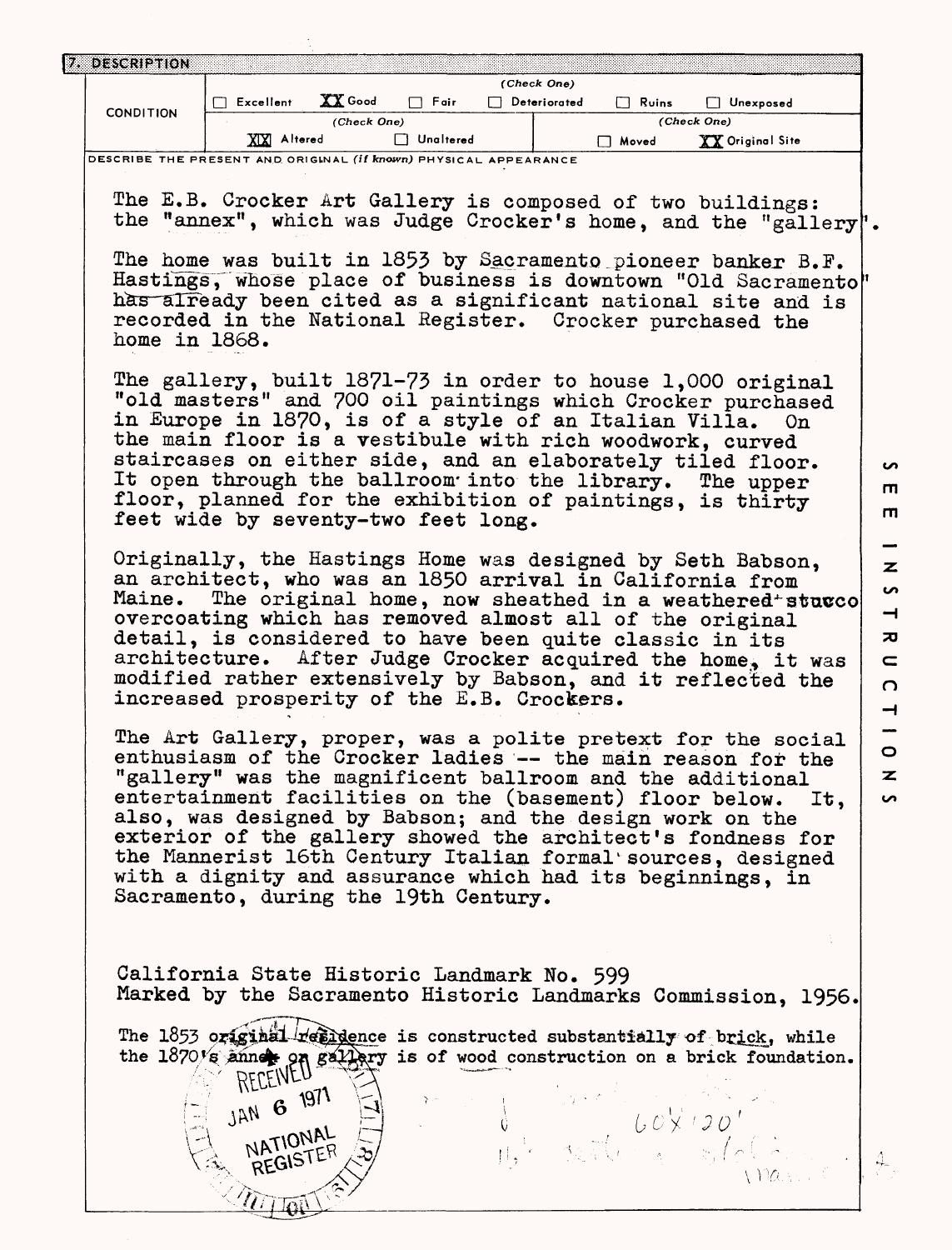| 7. DESCRIPTION                                                   |                                                                                                                        |             |                  |                                    |              |                       |     |
|------------------------------------------------------------------|------------------------------------------------------------------------------------------------------------------------|-------------|------------------|------------------------------------|--------------|-----------------------|-----|
|                                                                  | $\Box$ Excellent                                                                                                       | XX Good     | $\Box$ Fair      | (Check One)<br>$\Box$ Deteriorated | $\Box$ Ruins | Unexposed             |     |
| <b>CONDITION</b>                                                 |                                                                                                                        | (Check One) |                  |                                    |              | (Check One)           |     |
|                                                                  | XIXI Altered                                                                                                           |             | $\Box$ Unaltered |                                    | □ Moved      | XX Original Site      |     |
| DESCRIBE THE PRESENT AND ORIGINAL (if known) PHYSICAL APPEARANCE |                                                                                                                        |             |                  |                                    |              |                       |     |
|                                                                  |                                                                                                                        |             |                  |                                    |              |                       |     |
|                                                                  | The E.B. Crocker Art Gallery is composed of two buildings:                                                             |             |                  |                                    |              |                       |     |
|                                                                  | the "annex", which was Judge Crocker's home, and the "gallery".                                                        |             |                  |                                    |              |                       |     |
|                                                                  | The home was built in 1853 by Sacramento pioneer banker B.F.                                                           |             |                  |                                    |              |                       |     |
|                                                                  | Hastings, whose place of business is downtown "Old Sacramento"                                                         |             |                  |                                    |              |                       |     |
|                                                                  | has already been cited as a significant national site and is                                                           |             |                  |                                    |              |                       |     |
|                                                                  | recorded in the National Register. Crocker purchased the                                                               |             |                  |                                    |              |                       |     |
| home in 1868.                                                    |                                                                                                                        |             |                  |                                    |              |                       |     |
|                                                                  |                                                                                                                        |             |                  |                                    |              |                       |     |
|                                                                  | The gallery, built 1871-73 in order to house 1,000 original                                                            |             |                  |                                    |              |                       |     |
|                                                                  | "old masters" and 700 oil paintings which Crocker purchased                                                            |             |                  |                                    |              |                       |     |
|                                                                  | in Europe in 1870, is of a style of an Italian Villa. On                                                               |             |                  |                                    |              |                       |     |
|                                                                  | the main floor is a vestibule with rich woodwork, curved                                                               |             |                  |                                    |              |                       |     |
|                                                                  | staircases on either side, and an elaborately tiled floor.<br>It open through the ballroom into the library. The upper |             |                  |                                    |              |                       |     |
|                                                                  | floor, planned for the exhibition of paintings, is thirty                                                              |             |                  |                                    |              |                       |     |
|                                                                  | feet wide by seventy-two feet long.                                                                                    |             |                  |                                    |              |                       |     |
|                                                                  |                                                                                                                        |             |                  |                                    |              |                       |     |
|                                                                  | Originally, the Hastings Home was designed by Seth Babson,                                                             |             |                  |                                    |              |                       |     |
|                                                                  | an architect, who was an 1850 arrival in California from                                                               |             |                  |                                    |              |                       |     |
| Maine.                                                           | The original home, now sheathed in a weathered sturco                                                                  |             |                  |                                    |              |                       |     |
|                                                                  | overcoating which has removed almost all of the original<br>detail, is considered to have been quite classic in its    |             |                  |                                    |              |                       |     |
|                                                                  | architecture. After Judge Crocker acquired the home, it was                                                            |             |                  |                                    |              |                       |     |
|                                                                  | modified rather extensively by Babson, and it reflected the                                                            |             |                  |                                    |              |                       |     |
|                                                                  | increased prosperity of the E.B. Crockers.                                                                             |             |                  |                                    |              |                       |     |
|                                                                  |                                                                                                                        |             |                  |                                    |              |                       |     |
|                                                                  | The Art Gallery, proper, was a polite pretext for the social                                                           |             |                  |                                    |              |                       |     |
|                                                                  | enthusiasm of the Crocker ladies -- the main reason for the                                                            |             |                  |                                    |              |                       |     |
|                                                                  | "gallery" was the magnificent ballroom and the additional                                                              |             |                  |                                    |              |                       |     |
|                                                                  | entertainment facilities on the (basement) floor below.<br>also, was designed by Babson; and the design work on the    |             |                  |                                    |              |                       | It. |
|                                                                  | exterior of the gallery showed the architect's fondness for                                                            |             |                  |                                    |              |                       |     |
|                                                                  | the Mannerist 16th Century Italian formal sources, designed                                                            |             |                  |                                    |              |                       |     |
|                                                                  | with a dignity and assurance which had its beginnings, in                                                              |             |                  |                                    |              |                       |     |
|                                                                  | Sacramento, during the 19th Century.                                                                                   |             |                  |                                    |              |                       |     |
|                                                                  |                                                                                                                        |             |                  |                                    |              |                       |     |
|                                                                  |                                                                                                                        |             |                  |                                    |              |                       |     |
|                                                                  | California State Historic Landmark No. 599                                                                             |             |                  |                                    |              |                       |     |
|                                                                  | Marked by the Sacramento Historic Landmarks Commission, 1956.                                                          |             |                  |                                    |              |                       |     |
|                                                                  |                                                                                                                        |             |                  |                                    |              |                       |     |
|                                                                  | The 1853 original residence is constructed substantially of brick, while                                               |             |                  |                                    |              |                       |     |
|                                                                  | the 1870% annex on gallery is of wood construction on a brick foundation.                                              |             |                  |                                    |              |                       |     |
|                                                                  | RECEIVEU                                                                                                               |             |                  |                                    |              | Maria Bartha Goy 120' |     |
|                                                                  | JAN 6 1971                                                                                                             |             |                  |                                    |              |                       |     |
|                                                                  | NATIONAL                                                                                                               |             |                  |                                    |              |                       |     |
|                                                                  | REGISTER                                                                                                               |             |                  |                                    |              |                       |     |
|                                                                  |                                                                                                                        |             |                  |                                    |              |                       |     |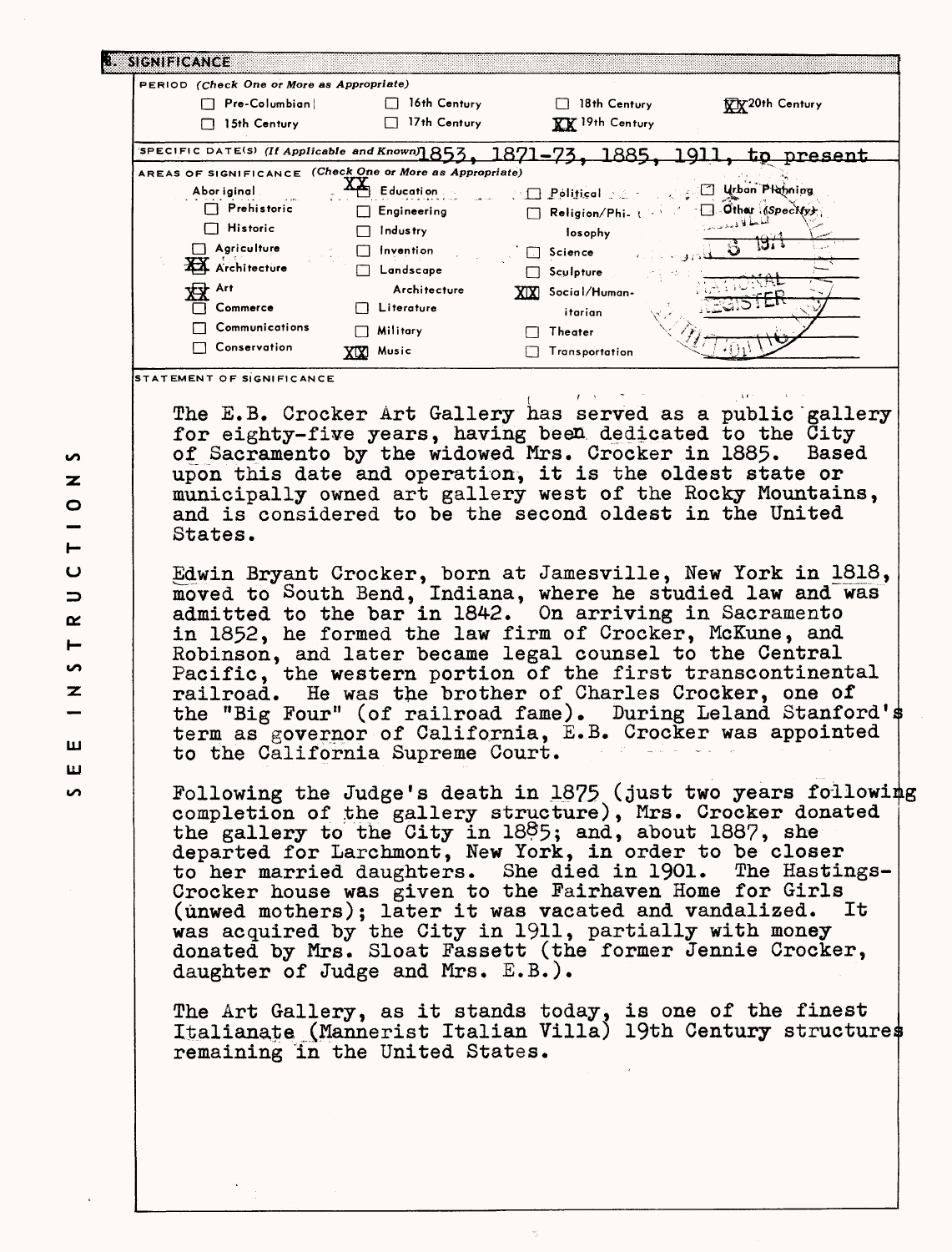| I. SIGNIFICANCE                                                                 |                                                                                                                                                                                 |                                            |                                                             |
|---------------------------------------------------------------------------------|---------------------------------------------------------------------------------------------------------------------------------------------------------------------------------|--------------------------------------------|-------------------------------------------------------------|
| PERIOD (Check One or More as Appropriate)                                       |                                                                                                                                                                                 |                                            |                                                             |
| $\Box$ Pre-Columbian                                                            | $\Box$ 16th Century                                                                                                                                                             | $\Box$ 18th Century                        | XX20th Century                                              |
| 15th Century                                                                    | 17th Century                                                                                                                                                                    | <b>XX</b> 19th Century                     |                                                             |
| SPECIFIC DATE(S) (If Applicable and Known)1853, 1871-73, 1885, 1911, to present |                                                                                                                                                                                 |                                            |                                                             |
| AREAS OF SIGNIFICANCE (Check One or More as Appropriate)                        |                                                                                                                                                                                 |                                            |                                                             |
| Abor iginal                                                                     | $\triangleq$ Education                                                                                                                                                          | <b>1 Political 2 - Call Yelon Planning</b> |                                                             |
| $\Box$ Prehistoric                                                              | $\Box$ Engineering                                                                                                                                                              | Religion/Phi. ( Carl Cither (Speckfy)      |                                                             |
| Historic<br>┌─ │                                                                | Industry<br>П                                                                                                                                                                   | losophy                                    |                                                             |
| $\Box$ Agriculture                                                              | $\Box$ Invention                                                                                                                                                                | $\Box$ Science                             | छा                                                          |
| XX Architecture                                                                 | $\Box$ Landscape                                                                                                                                                                | $\Box$ Sculpture                           |                                                             |
| <b>XIX</b> Art                                                                  | Architecture                                                                                                                                                                    | XIXI Social/Human-                         |                                                             |
| Commerce                                                                        | □ Literature                                                                                                                                                                    | itarian                                    |                                                             |
| Communications                                                                  | Military                                                                                                                                                                        | <b>Theater</b>                             |                                                             |
| Conservation                                                                    | XXX Music                                                                                                                                                                       | Transportation                             |                                                             |
| STATEMENT OF SIGNIFICANCE                                                       |                                                                                                                                                                                 |                                            | The E.B. Crocker Art Gallery has served as a public gallery |
|                                                                                 | for eighty-five years, having been dedicated to the City<br>of Sacramento by the widowed Mrs. Crocker in 1885. Based<br>upon this date and operation, it is the oldest state or |                                            |                                                             |
| States.                                                                         | and is considered to be the second oldest in the United                                                                                                                         |                                            | municipally owned art gallery west of the Rocky Mountains,  |

Edwin Bryant Crocker, born at Jamesville, New York in 1818, moved to South Bend, Indiana, where he studied law and was admitted to the bar in 1842. On arriving in Sacramento in 1852, he formed the law firm of Crocker, McKune, and Robinson, and later became legal counsel to the Central Pacific, the western portion of the first transcontinental railroad. He was the brother of Charles Grocker, one of the "Big Four" (of railroad fame). During Leland Stanford's term as governor of California, E.B. Crocker was appointed to the California Supreme Court.

Following the Judge's death in  $1875$  (just two years following completion of the gallery structure), Mrs. Crocker donated the gallery to the City in 18®5; and, about 1887, she departed for Larchmont, New York, in order to be closer to her married daughters. She died in 1901. The Hastings-Crocker house was given to the Fairhaven Home for Girls (unwed mothers): later it was vacated and vandalized. It (unwed mothers); later it was vacated and vandalized. was acquired by the City in 1911, partially with money donated by Mrs. Sloat Fassett (the former Jennie Crocker, daughter of Judge and Mrs.  $E.B.$ ).

The Art Gallery, as it stands today, is one of the finest Italianate (Mannerist Italian Villa) 19th Century structures remaining in the United States.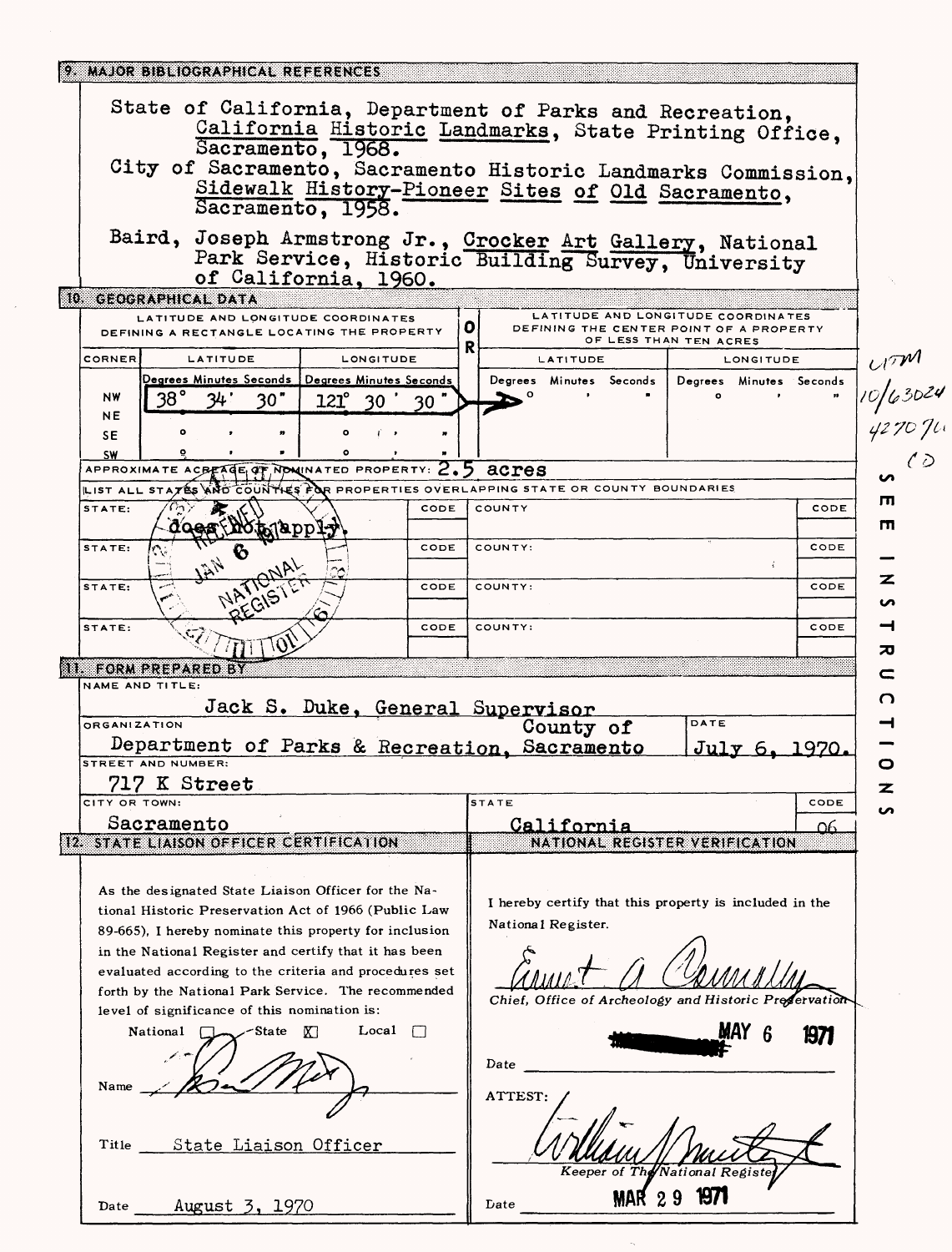| 9. MAJOR BIBLIOGRAPHICAL REFERENCES                                                                                                                                                                                                                                                                                                                                                             |                                                                                                                                                                             |                                        |
|-------------------------------------------------------------------------------------------------------------------------------------------------------------------------------------------------------------------------------------------------------------------------------------------------------------------------------------------------------------------------------------------------|-----------------------------------------------------------------------------------------------------------------------------------------------------------------------------|----------------------------------------|
| State of California, Department of Parks and Recreation,<br>Sacramento, 1968.<br>Sacramento, 1958.                                                                                                                                                                                                                                                                                              | California Historic Landmarks, State Printing Office,<br>City of Sacramento, Sacramento Historic Landmarks Commission,<br>Sidewalk History-Pioneer Sites of Old Sacramento, |                                        |
| Baird, Joseph Armstrong Jr., Crocker Art Gallery, National<br>of California, 1960.                                                                                                                                                                                                                                                                                                              | Park Service, Historic Building Survey, University                                                                                                                          |                                        |
| 10 GEOGRAPHICAL DATA<br>LATITUDE AND LONGITUDE COORDINATES                                                                                                                                                                                                                                                                                                                                      | LATITUDE AND LONGITUDE COORDINATES                                                                                                                                          |                                        |
| DEFINING A RECTANGLE LOCATING THE PROPERTY                                                                                                                                                                                                                                                                                                                                                      | 0<br>DEFINING THE CENTER POINT OF A PROPERTY<br>OF LESS THAN TEN ACRES<br>R                                                                                                 |                                        |
| CORNER<br>LATITUDE<br>LONGITUDE                                                                                                                                                                                                                                                                                                                                                                 | LATITUDE<br>LONGITUDE                                                                                                                                                       |                                        |
| Degrees Minutes Seconds   Degrees Minutes Seconds<br>38°<br>NW<br>30"<br>$121^\circ$<br>30<br>NΕ                                                                                                                                                                                                                                                                                                | Degrees Minutes Seconds<br>Degrees Minutes Seconds<br>$\circ$                                                                                                               | <sub>17</sub> M<br>10/63024<br>4270 Ju |
| ۰<br>i,<br>SE.<br><b>SW</b><br>۰                                                                                                                                                                                                                                                                                                                                                                |                                                                                                                                                                             |                                        |
| APPROXIMATE ACBEAGE OF NOWINATED PROPERTY: $2.5$ acres                                                                                                                                                                                                                                                                                                                                          |                                                                                                                                                                             |                                        |
| LIST ALL STATES AND COUNTIES FOR PROPERTIES OVERLAPPING STATE OR COUNTY BOUNDARIES                                                                                                                                                                                                                                                                                                              |                                                                                                                                                                             | ш                                      |
| STATE:<br>CODE<br>no Plabb <sub>i</sub> -y<br><b>QOGS</b>                                                                                                                                                                                                                                                                                                                                       | COUNTY<br>CODE                                                                                                                                                              | m                                      |
| CODE<br>STATE:                                                                                                                                                                                                                                                                                                                                                                                  | CODE<br>COUNTY:                                                                                                                                                             |                                        |
| NATIONAL<br>STATE:<br>CODE                                                                                                                                                                                                                                                                                                                                                                      | CODE<br>COUNTY:                                                                                                                                                             | z<br>ທ                                 |
| CODE<br>STATE:                                                                                                                                                                                                                                                                                                                                                                                  | COUNTY:<br>CODE                                                                                                                                                             | ⊣                                      |
| <b>NI FORM PREPARED BY</b>                                                                                                                                                                                                                                                                                                                                                                      |                                                                                                                                                                             | 观                                      |
| NAME AND TITLE:                                                                                                                                                                                                                                                                                                                                                                                 |                                                                                                                                                                             | n                                      |
| Jack S. Duke, General Supervisor<br><b>ORGANIZATION</b>                                                                                                                                                                                                                                                                                                                                         | DATE<br>County of                                                                                                                                                           |                                        |
| Department of Parks & Recreation, Sacramento<br>STREET AND NUMBER:                                                                                                                                                                                                                                                                                                                              | July 6, 1970.                                                                                                                                                               | o                                      |
| 717 K Street                                                                                                                                                                                                                                                                                                                                                                                    |                                                                                                                                                                             | z                                      |
| CITY OR TOWN:                                                                                                                                                                                                                                                                                                                                                                                   | <b>STATE</b><br>CODE                                                                                                                                                        |                                        |
| Sacramento<br>12. STATE LIAISON OFFICER CERTIFICATION                                                                                                                                                                                                                                                                                                                                           | California<br><u>Ω6</u><br>NATIONAL REGISTER VERIFICATION                                                                                                                   |                                        |
|                                                                                                                                                                                                                                                                                                                                                                                                 |                                                                                                                                                                             |                                        |
| As the designated State Liaison Officer for the Na-<br>tional Historic Preservation Act of 1966 (Public Law<br>89-665), I hereby nominate this property for inclusion<br>in the National Register and certify that it has been<br>evaluated according to the criteria and procedures set<br>forth by the National Park Service. The recommended<br>level of significance of this nomination is: | I hereby certify that this property is included in the<br>National Register.<br>Chief, Office of Archeology and Historic Preservation                                       |                                        |
| Local<br>National<br>∕State K]<br>$\left  \cdot \right $                                                                                                                                                                                                                                                                                                                                        | MAY 6<br>1971<br>Date                                                                                                                                                       |                                        |
| Name                                                                                                                                                                                                                                                                                                                                                                                            | ATTEST:                                                                                                                                                                     |                                        |
| State Liaison Officer<br>Title                                                                                                                                                                                                                                                                                                                                                                  | Keeper of The                                                                                                                                                               |                                        |
| August 3, 1970<br>Date                                                                                                                                                                                                                                                                                                                                                                          | Date                                                                                                                                                                        |                                        |